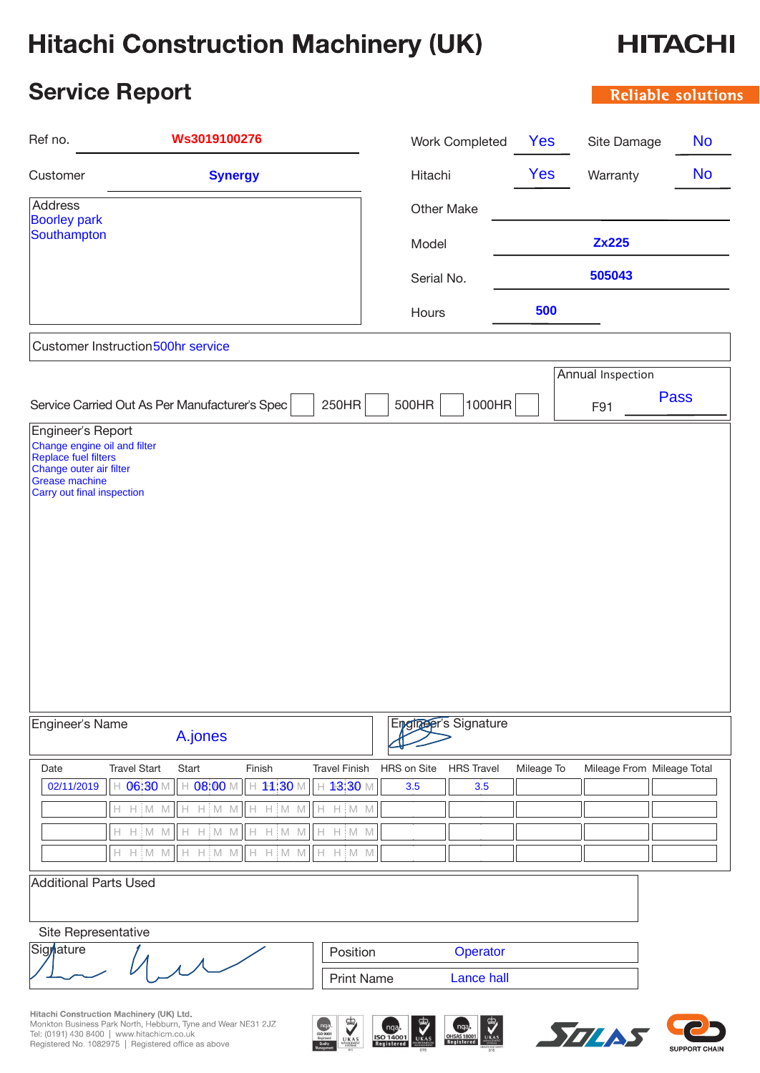### **Hitachi Construction Machinery (UK)**

# **HITACHI**

Reliable solutions

### **Service Report**

| Yes<br>Warranty<br>Customer<br>Hitachi<br><b>Synergy</b><br>Address<br>Other Make<br><b>Boorley park</b><br>Southampton<br><b>Zx225</b><br>Model<br>505043<br>Serial No.<br>500<br>Hours<br>Customer Instruction 500hr service<br>Annual Inspection<br>1000HR<br>250HR<br>500HR<br>Service Carried Out As Per Manufacturer's Spec<br>F91<br>Engineer's Report<br>Change engine oil and filter<br><b>Replace fuel filters</b><br>Change outer air filter<br><b>Grease machine</b><br>Carry out final inspection<br>Engineer's Signature<br>Engineer's Name<br>A.jones<br><b>Travel Start</b><br>Finish<br><b>Travel Finish</b><br>HRS on Site<br><b>HRS</b> Travel<br>Start<br>Mileage To<br>Date<br>$H$ 06:30 M<br>H 08:00 M<br>H 11:30 M<br>$H$ 13:30 M<br>02/11/2019<br>3.5<br>3.5<br>$H$ M M<br>$\mathbb H$ M M<br>H H M M<br>$\mathbb H$<br>H M M<br>$\mathbb H$<br>$\mathbb H$<br>H M M<br>H M M<br>$\mathbb H$<br>H M M<br>$\mathbb H$<br>H M M<br>$\mathbb H$<br>$\mathbb H$<br>$H$ M M<br>H M M<br>$\mathbb H$<br>H M M<br>$\mathbb H$<br>H H M M<br>H<br><b>Additional Parts Used</b> | Ws3019100276<br>Ref no. | Yes<br><b>Work Completed</b><br>Site Damage | <b>No</b> |  |  |  |  |
|------------------------------------------------------------------------------------------------------------------------------------------------------------------------------------------------------------------------------------------------------------------------------------------------------------------------------------------------------------------------------------------------------------------------------------------------------------------------------------------------------------------------------------------------------------------------------------------------------------------------------------------------------------------------------------------------------------------------------------------------------------------------------------------------------------------------------------------------------------------------------------------------------------------------------------------------------------------------------------------------------------------------------------------------------------------------------------------------|-------------------------|---------------------------------------------|-----------|--|--|--|--|
|                                                                                                                                                                                                                                                                                                                                                                                                                                                                                                                                                                                                                                                                                                                                                                                                                                                                                                                                                                                                                                                                                                |                         |                                             | <b>No</b> |  |  |  |  |
|                                                                                                                                                                                                                                                                                                                                                                                                                                                                                                                                                                                                                                                                                                                                                                                                                                                                                                                                                                                                                                                                                                |                         |                                             |           |  |  |  |  |
|                                                                                                                                                                                                                                                                                                                                                                                                                                                                                                                                                                                                                                                                                                                                                                                                                                                                                                                                                                                                                                                                                                |                         |                                             |           |  |  |  |  |
|                                                                                                                                                                                                                                                                                                                                                                                                                                                                                                                                                                                                                                                                                                                                                                                                                                                                                                                                                                                                                                                                                                | <b>Pass</b>             |                                             |           |  |  |  |  |
|                                                                                                                                                                                                                                                                                                                                                                                                                                                                                                                                                                                                                                                                                                                                                                                                                                                                                                                                                                                                                                                                                                |                         |                                             |           |  |  |  |  |
|                                                                                                                                                                                                                                                                                                                                                                                                                                                                                                                                                                                                                                                                                                                                                                                                                                                                                                                                                                                                                                                                                                |                         | Mileage From Mileage Total                  |           |  |  |  |  |
| Site Representative<br>Signature<br>Operator<br>Position<br><b>Print Name</b><br>Lance hall<br>Hitachi Construction Machinery (UK) Ltd.<br>$\clubsuit$<br>Monkton Business Park North, Hebburn, Tyne and Wear NE31 2JZ<br>nqa<br>577/25<br>nqa                                                                                                                                                                                                                                                                                                                                                                                                                                                                                                                                                                                                                                                                                                                                                                                                                                                 |                         |                                             |           |  |  |  |  |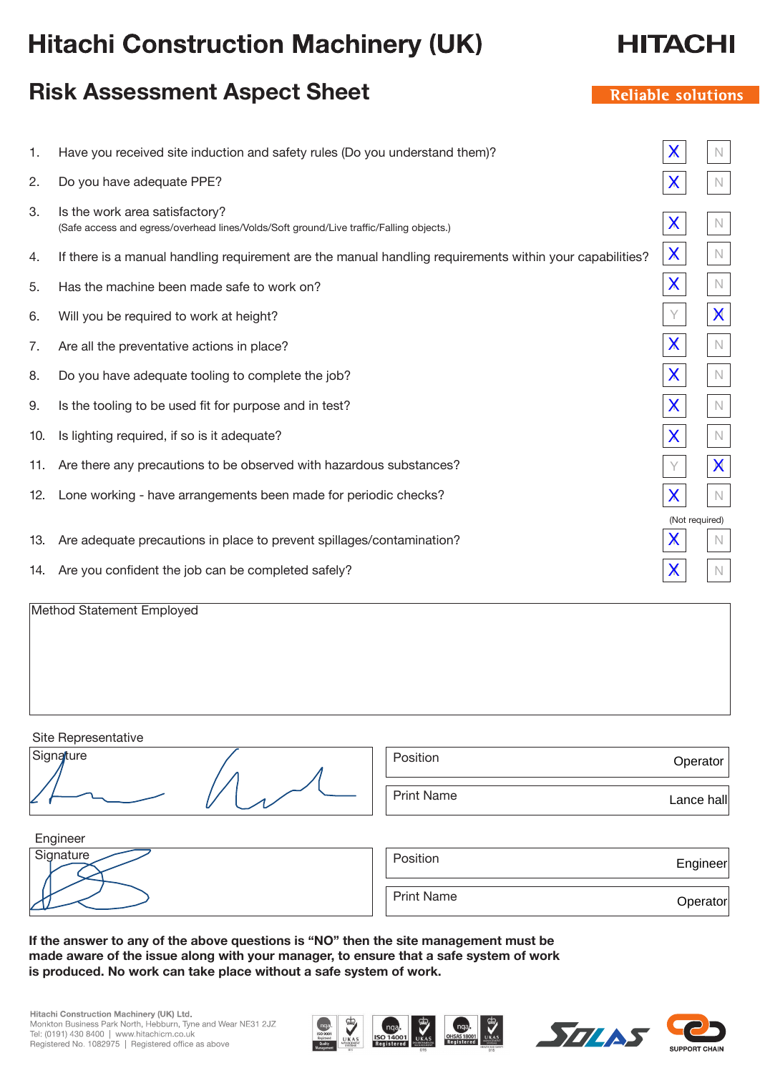### **Hitachi Construction Machinery (UK)**

#### **Risk Assessment Aspect Sheet**

2. Do you have adequate PPE?

1. Have you received site induction and safety rules (Do you understand them)?

- 3. Is the work area satisfactory? (Safe access and egress/overhead lines/Volds/Soft ground/Live traffic/Falling objects.)
- 4. If there is a manual handling requirement are the manual handling requirements within your capabilities?
- 5. Has the machine been made safe to work on?
- 6. Will you be required to work at height?
- 7. Are all the preventative actions in place?
- 8. Do you have adequate tooling to complete the job?
- 9. Is the tooling to be used fit for purpose and in test?
- 10. Is lighting required, if so is it adequate?
- 11. Are there any precautions to be observed with hazardous substances?
- 12. Lone working have arrangements been made for periodic checks?
- 13. Are adequate precautions in place to prevent spillages/contamination?
- 14. Are you confident the job can be completed safely?

Method Statement Employed

Site Representative



| Position          | Operator   |
|-------------------|------------|
| <b>Print Name</b> | Lance hall |

Engineer

| Signature | Position          | Engineer |
|-----------|-------------------|----------|
|           | <b>Print Name</b> | Operator |

If the answer to any of the above questions is "NO" then the site management must be **made aware of the issue along with your manager, to ensure that a safe system of work is produced. No work can take place without a safe system of work.**







### **HITACI**

#### **Reliable solutions**